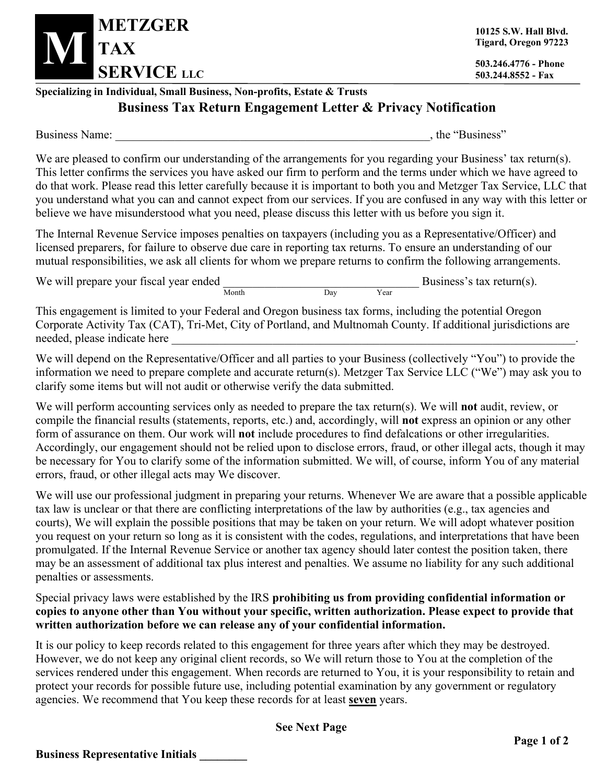

**10125 S.W. Hall Blvd. Tigard, Oregon 97223**

**503.244.8552 - Fax**

## **Specializing in Individual, Small Business, Non-profits, Estate & Trusts Business Tax Return Engagement Letter & Privacy Notification**

Business Name: \_\_\_\_\_\_\_\_\_\_\_\_\_\_\_\_\_\_\_\_\_\_\_\_\_\_\_\_\_\_\_\_\_\_\_\_\_\_\_\_\_\_\_\_\_\_\_\_\_\_\_\_\_, the "Business"

We are pleased to confirm our understanding of the arrangements for you regarding your Business' tax return(s). This letter confirms the services you have asked our firm to perform and the terms under which we have agreed to do that work. Please read this letter carefully because it is important to both you and Metzger Tax Service, LLC that you understand what you can and cannot expect from our services. If you are confused in any way with this letter or believe we have misunderstood what you need, please discuss this letter with us before you sign it.

The Internal Revenue Service imposes penalties on taxpayers (including you as a Representative/Officer) and licensed preparers, for failure to observe due care in reporting tax returns. To ensure an understanding of our mutual responsibilities, we ask all clients for whom we prepare returns to confirm the following arrangements.

We will prepare your fiscal year ended  $\frac{1}{\text{Month}}$  Day Year Business's tax return(s).

This engagement is limited to your Federal and Oregon business tax forms, including the potential Oregon Corporate Activity Tax (CAT), Tri-Met, City of Portland, and Multnomah County. If additional jurisdictions are needed, please indicate here

We will depend on the Representative/Officer and all parties to your Business (collectively "You") to provide the information we need to prepare complete and accurate return(s). Metzger Tax Service LLC ("We") may ask you to clarify some items but will not audit or otherwise verify the data submitted.

We will perform accounting services only as needed to prepare the tax return(s). We will **not** audit, review, or compile the financial results (statements, reports, etc.) and, accordingly, will **not** express an opinion or any other form of assurance on them. Our work will **not** include procedures to find defalcations or other irregularities. Accordingly, our engagement should not be relied upon to disclose errors, fraud, or other illegal acts, though it may be necessary for You to clarify some of the information submitted. We will, of course, inform You of any material errors, fraud, or other illegal acts may We discover.

We will use our professional judgment in preparing your returns. Whenever We are aware that a possible applicable tax law is unclear or that there are conflicting interpretations of the law by authorities (e.g., tax agencies and courts), We will explain the possible positions that may be taken on your return. We will adopt whatever position you request on your return so long as it is consistent with the codes, regulations, and interpretations that have been promulgated. If the Internal Revenue Service or another tax agency should later contest the position taken, there may be an assessment of additional tax plus interest and penalties. We assume no liability for any such additional penalties or assessments.

Special privacy laws were established by the IRS **prohibiting us from providing confidential information or copies to anyone other than You without your specific, written authorization. Please expect to provide that written authorization before we can release any of your confidential information.**

It is our policy to keep records related to this engagement for three years after which they may be destroyed. However, we do not keep any original client records, so We will return those to You at the completion of the services rendered under this engagement. When records are returned to You, it is your responsibility to retain and protect your records for possible future use, including potential examination by any government or regulatory agencies. We recommend that You keep these records for at least **seven** years.